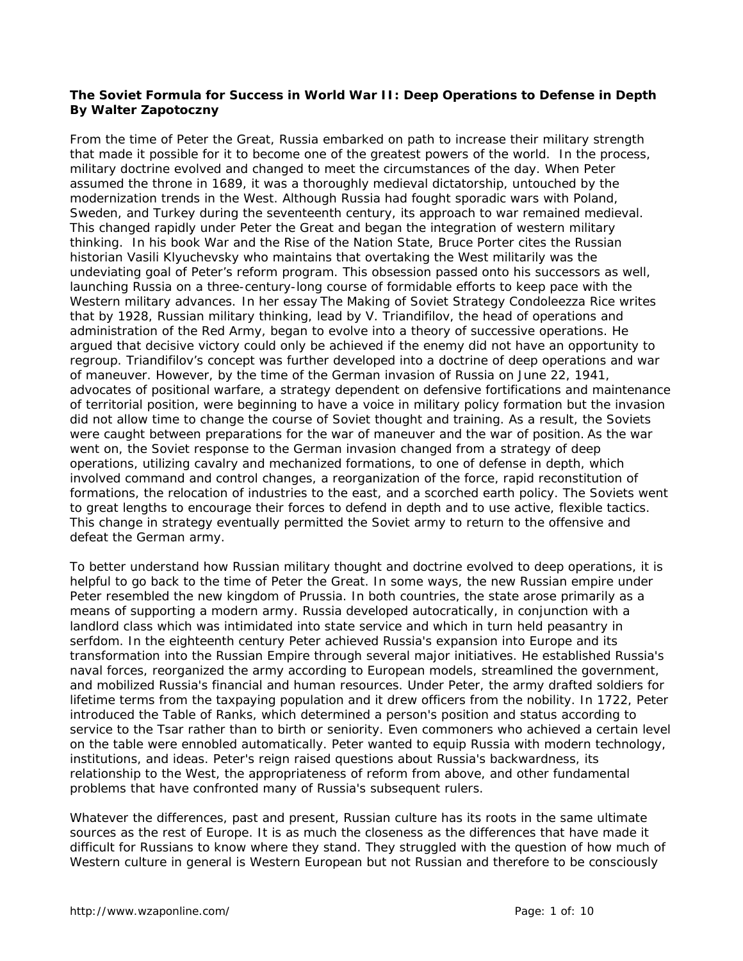## **The Soviet Formula for Success in World War II: Deep Operations to Defense in Depth By Walter Zapotoczny**

From the time of Peter the Great, Russia embarked on path to increase their military strength that made it possible for it to become one of the greatest powers of the world. In the process, military doctrine evolved and changed to meet the circumstances of the day. When Peter assumed the throne in 1689, it was a thoroughly medieval dictatorship, untouched by the modernization trends in the West. Although Russia had fought sporadic wars with Poland, Sweden, and Turkey during the seventeenth century, its approach to war remained medieval. This changed rapidly under Peter the Great and began the integration of western military thinking. In his book *War and the Rise of the Nation State*, Bruce Porter cites the Russian historian Vasili Klyuchevsky who maintains that overtaking the West militarily was the undeviating goal of Peter's reform program. This obsession passed onto his successors as well, launching Russia on a three-century-long course of formidable efforts to keep pace with the Western military advances. In her essay *The Making of Soviet Strategy* Condoleezza Rice writes that by 1928, Russian military thinking, lead by V. Triandifilov, the head of operations and administration of the Red Army, began to evolve into a theory of successive operations. He argued that decisive victory could only be achieved if the enemy did not have an opportunity to regroup. Triandifilov's concept was further developed into a doctrine of deep operations and war of maneuver. However, by the time of the German invasion of Russia on June 22, 1941, advocates of positional warfare, a strategy dependent on defensive fortifications and maintenance of territorial position, were beginning to have a voice in military policy formation but the invasion did not allow time to change the course of Soviet thought and training. As a result, the Soviets were caught between preparations for the war of maneuver and the war of position. As the war went on, the Soviet response to the German invasion changed from a strategy of deep operations, utilizing cavalry and mechanized formations, to one of defense in depth, which involved command and control changes, a reorganization of the force, rapid reconstitution of formations, the relocation of industries to the east, and a scorched earth policy. The Soviets went to great lengths to encourage their forces to defend in depth and to use active, flexible tactics. This change in strategy eventually permitted the Soviet army to return to the offensive and defeat the German army.

To better understand how Russian military thought and doctrine evolved to deep operations, it is helpful to go back to the time of Peter the Great. In some ways, the new Russian empire under Peter resembled the new kingdom of Prussia. In both countries, the state arose primarily as a means of supporting a modern army. Russia developed autocratically, in conjunction with a landlord class which was intimidated into state service and which in turn held peasantry in serfdom. In the eighteenth century Peter achieved Russia's expansion into Europe and its transformation into the Russian Empire through several major initiatives. He established Russia's naval forces, reorganized the army according to European models, streamlined the government, and mobilized Russia's financial and human resources. Under Peter, the army drafted soldiers for lifetime terms from the taxpaying population and it drew officers from the nobility. In 1722, Peter introduced the Table of Ranks, which determined a person's position and status according to service to the Tsar rather than to birth or seniority. Even commoners who achieved a certain level on the table were ennobled automatically. Peter wanted to equip Russia with modern technology, institutions, and ideas. Peter's reign raised questions about Russia's backwardness, its relationship to the West, the appropriateness of reform from above, and other fundamental problems that have confronted many of Russia's subsequent rulers.

Whatever the differences, past and present, Russian culture has its roots in the same ultimate sources as the rest of Europe. It is as much the closeness as the differences that have made it difficult for Russians to know where they stand. They struggled with the question of how much of Western culture in general is Western European but not Russian and therefore to be consciously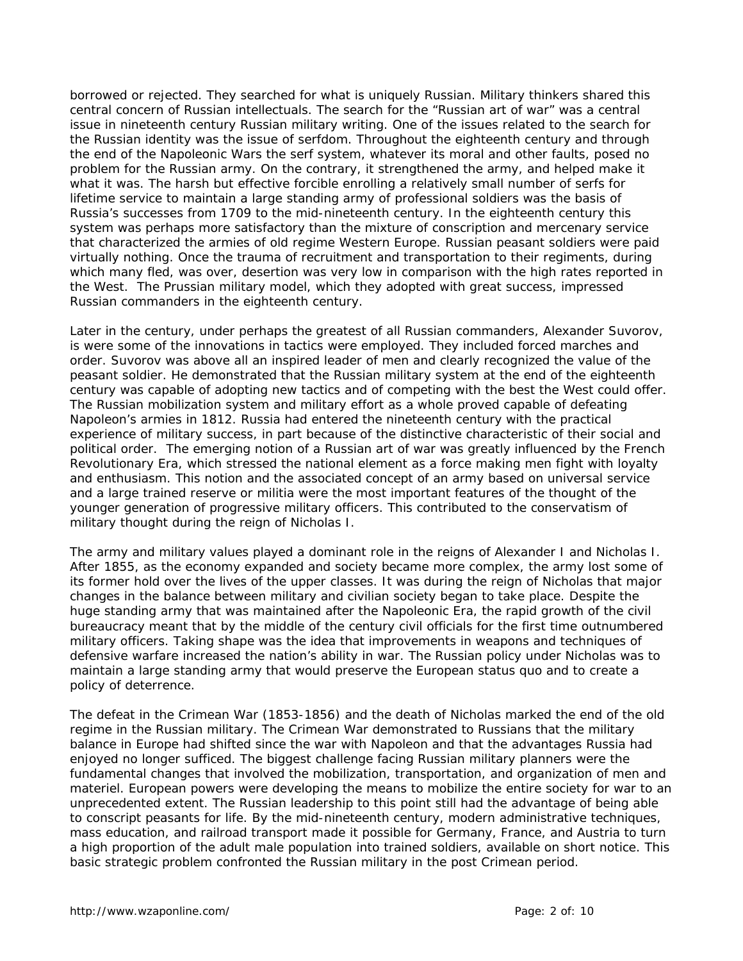borrowed or rejected. They searched for what is uniquely Russian. Military thinkers shared this central concern of Russian intellectuals. The search for the "Russian art of war" was a central issue in nineteenth century Russian military writing. One of the issues related to the search for the Russian identity was the issue of serfdom. Throughout the eighteenth century and through the end of the Napoleonic Wars the serf system, whatever its moral and other faults, posed no problem for the Russian army. On the contrary, it strengthened the army, and helped make it what it was. The harsh but effective forcible enrolling a relatively small number of serfs for lifetime service to maintain a large standing army of professional soldiers was the basis of Russia's successes from 1709 to the mid-nineteenth century. In the eighteenth century this system was perhaps more satisfactory than the mixture of conscription and mercenary service that characterized the armies of old regime Western Europe. Russian peasant soldiers were paid virtually nothing. Once the trauma of recruitment and transportation to their regiments, during which many fled, was over, desertion was very low in comparison with the high rates reported in the West. The Prussian military model, which they adopted with great success, impressed Russian commanders in the eighteenth century.

Later in the century, under perhaps the greatest of all Russian commanders, Alexander Suvorov, is were some of the innovations in tactics were employed. They included forced marches and order. Suvorov was above all an inspired leader of men and clearly recognized the value of the peasant soldier. He demonstrated that the Russian military system at the end of the eighteenth century was capable of adopting new tactics and of competing with the best the West could offer. The Russian mobilization system and military effort as a whole proved capable of defeating Napoleon's armies in 1812. Russia had entered the nineteenth century with the practical experience of military success, in part because of the distinctive characteristic of their social and political order. The emerging notion of a Russian art of war was greatly influenced by the French Revolutionary Era, which stressed the national element as a force making men fight with loyalty and enthusiasm. This notion and the associated concept of an army based on universal service and a large trained reserve or militia were the most important features of the thought of the younger generation of progressive military officers. This contributed to the conservatism of military thought during the reign of Nicholas I.

The army and military values played a dominant role in the reigns of Alexander I and Nicholas I. After 1855, as the economy expanded and society became more complex, the army lost some of its former hold over the lives of the upper classes. It was during the reign of Nicholas that major changes in the balance between military and civilian society began to take place. Despite the huge standing army that was maintained after the Napoleonic Era, the rapid growth of the civil bureaucracy meant that by the middle of the century civil officials for the first time outnumbered military officers. Taking shape was the idea that improvements in weapons and techniques of defensive warfare increased the nation's ability in war. The Russian policy under Nicholas was to maintain a large standing army that would preserve the European status quo and to create a policy of deterrence.

The defeat in the Crimean War (1853-1856) and the death of Nicholas marked the end of the old regime in the Russian military. The Crimean War demonstrated to Russians that the military balance in Europe had shifted since the war with Napoleon and that the advantages Russia had enjoyed no longer sufficed. The biggest challenge facing Russian military planners were the fundamental changes that involved the mobilization, transportation, and organization of men and materiel. European powers were developing the means to mobilize the entire society for war to an unprecedented extent. The Russian leadership to this point still had the advantage of being able to conscript peasants for life. By the mid-nineteenth century, modern administrative techniques, mass education, and railroad transport made it possible for Germany, France, and Austria to turn a high proportion of the adult male population into trained soldiers, available on short notice. This basic strategic problem confronted the Russian military in the post Crimean period.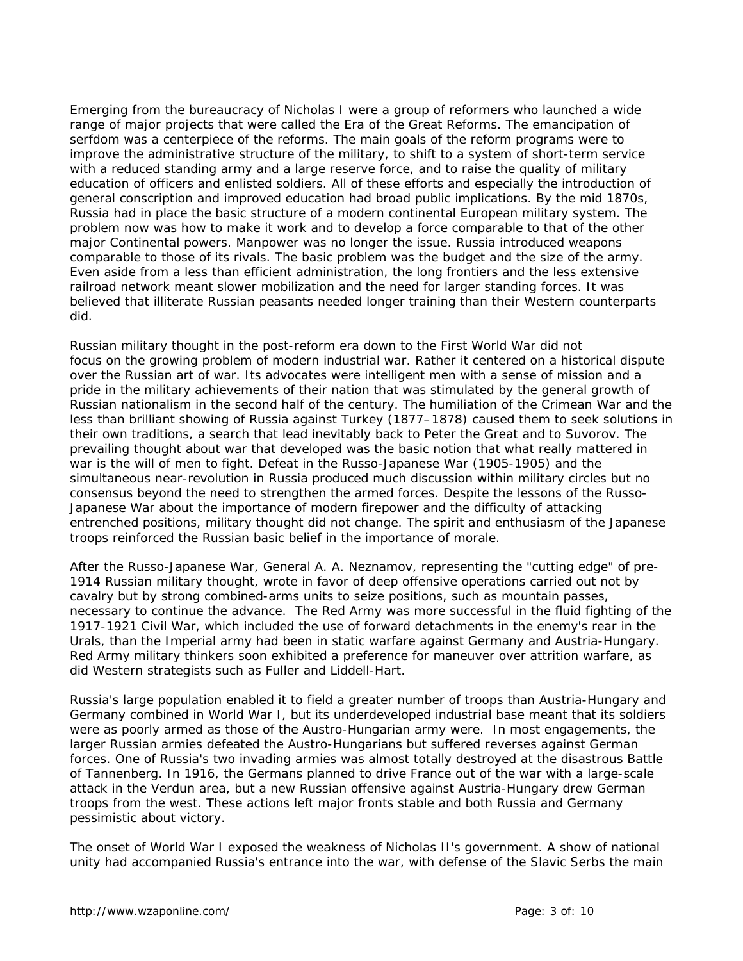Emerging from the bureaucracy of Nicholas I were a group of reformers who launched a wide range of major projects that were called the Era of the Great Reforms. The emancipation of serfdom was a centerpiece of the reforms. The main goals of the reform programs were to improve the administrative structure of the military, to shift to a system of short-term service with a reduced standing army and a large reserve force, and to raise the quality of military education of officers and enlisted soldiers. All of these efforts and especially the introduction of general conscription and improved education had broad public implications. By the mid 1870s, Russia had in place the basic structure of a modern continental European military system. The problem now was how to make it work and to develop a force comparable to that of the other major Continental powers. Manpower was no longer the issue. Russia introduced weapons comparable to those of its rivals. The basic problem was the budget and the size of the army. Even aside from a less than efficient administration, the long frontiers and the less extensive railroad network meant slower mobilization and the need for larger standing forces. It was believed that illiterate Russian peasants needed longer training than their Western counterparts did.

Russian military thought in the post-reform era down to the First World War did not focus on the growing problem of modern industrial war. Rather it centered on a historical dispute over the Russian art of war. Its advocates were intelligent men with a sense of mission and a pride in the military achievements of their nation that was stimulated by the general growth of Russian nationalism in the second half of the century. The humiliation of the Crimean War and the less than brilliant showing of Russia against Turkey (1877–1878) caused them to seek solutions in their own traditions, a search that lead inevitably back to Peter the Great and to Suvorov. The prevailing thought about war that developed was the basic notion that what really mattered in war is the will of men to fight. Defeat in the Russo-Japanese War (1905-1905) and the simultaneous near-revolution in Russia produced much discussion within military circles but no consensus beyond the need to strengthen the armed forces. Despite the lessons of the Russo-Japanese War about the importance of modern firepower and the difficulty of attacking entrenched positions, military thought did not change. The spirit and enthusiasm of the Japanese troops reinforced the Russian basic belief in the importance of morale.

After the Russo-Japanese War, General A. A. Neznamov, representing the "cutting edge" of pre-1914 Russian military thought, wrote in favor of deep offensive operations carried out not by cavalry but by strong combined-arms units to seize positions, such as mountain passes, necessary to continue the advance. The Red Army was more successful in the fluid fighting of the 1917-1921 Civil War, which included the use of forward detachments in the enemy's rear in the Urals, than the Imperial army had been in static warfare against Germany and Austria-Hungary. Red Army military thinkers soon exhibited a preference for maneuver over attrition warfare, as did Western strategists such as Fuller and Liddell-Hart.

Russia's large population enabled it to field a greater number of troops than Austria-Hungary and Germany combined in World War I, but its underdeveloped industrial base meant that its soldiers were as poorly armed as those of the Austro-Hungarian army were. In most engagements, the larger Russian armies defeated the Austro-Hungarians but suffered reverses against German forces. One of Russia's two invading armies was almost totally destroyed at the disastrous Battle of Tannenberg. In 1916, the Germans planned to drive France out of the war with a large-scale attack in the Verdun area, but a new Russian offensive against Austria-Hungary drew German troops from the west. These actions left major fronts stable and both Russia and Germany pessimistic about victory.

The onset of World War I exposed the weakness of Nicholas II's government. A show of national unity had accompanied Russia's entrance into the war, with defense of the Slavic Serbs the main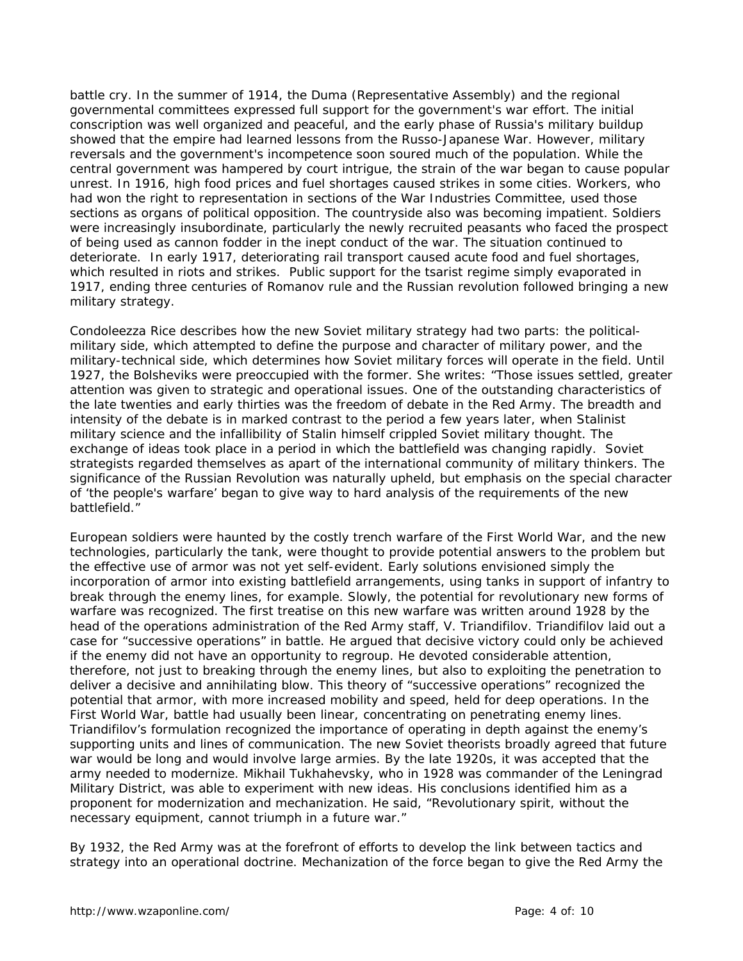battle cry. In the summer of 1914, the *Duma* (Representative Assembly) and the regional governmental committees expressed full support for the government's war effort. The initial conscription was well organized and peaceful, and the early phase of Russia's military buildup showed that the empire had learned lessons from the Russo-Japanese War. However, military reversals and the government's incompetence soon soured much of the population. While the central government was hampered by court intrigue, the strain of the war began to cause popular unrest. In 1916, high food prices and fuel shortages caused strikes in some cities. Workers, who had won the right to representation in sections of the War Industries Committee, used those sections as organs of political opposition. The countryside also was becoming impatient. Soldiers were increasingly insubordinate, particularly the newly recruited peasants who faced the prospect of being used as cannon fodder in the inept conduct of the war. The situation continued to deteriorate. In early 1917, deteriorating rail transport caused acute food and fuel shortages, which resulted in riots and strikes. Public support for the tsarist regime simply evaporated in 1917, ending three centuries of Romanov rule and the Russian revolution followed bringing a new military strategy.

Condoleezza Rice describes how the new Soviet military strategy had two parts: the politicalmilitary side, which attempted to define the purpose and character of military power, and the military-technical side, which determines how Soviet military forces will operate in the field. Until 1927, the Bolsheviks were preoccupied with the former. She writes: "Those issues settled, greater attention was given to strategic and operational issues. One of the outstanding characteristics of the late twenties and early thirties was the freedom of debate in the Red Army. The breadth and intensity of the debate is in marked contrast to the period a few years later, when Stalinist military science and the infallibility of Stalin himself crippled Soviet military thought. The exchange of ideas took place in a period in which the battlefield was changing rapidly. Soviet strategists regarded themselves as apart of the international community of military thinkers. The significance of the Russian Revolution was naturally upheld, but emphasis on the special character of 'the people's warfare' began to give way to hard analysis of the requirements of the new battlefield."

European soldiers were haunted by the costly trench warfare of the First World War, and the new technologies, particularly the tank, were thought to provide potential answers to the problem but the effective use of armor was not yet self-evident. Early solutions envisioned simply the incorporation of armor into existing battlefield arrangements, using tanks in support of infantry to break through the enemy lines, for example. Slowly, the potential for revolutionary new forms of warfare was recognized. The first treatise on this new warfare was written around 1928 by the head of the operations administration of the Red Army staff, V. Triandifilov. Triandifilov laid out a case for "successive operations" in battle. He argued that decisive victory could only be achieved if the enemy did not have an opportunity to regroup. He devoted considerable attention, therefore, not just to breaking through the enemy lines, but also to exploiting the penetration to deliver a decisive and annihilating blow. This theory of "successive operations" recognized the potential that armor, with more increased mobility and speed, held for deep operations. In the First World War, battle had usually been linear, concentrating on penetrating enemy lines. Triandifilov's formulation recognized the importance of operating in depth against the enemy's supporting units and lines of communication. The new Soviet theorists broadly agreed that future war would be long and would involve large armies. By the late 1920s, it was accepted that the army needed to modernize. Mikhail Tukhahevsky, who in 1928 was commander of the Leningrad Military District, was able to experiment with new ideas. His conclusions identified him as a proponent for modernization and mechanization. He said, "Revolutionary spirit, without the necessary equipment, cannot triumph in a future war."

By 1932, the Red Army was at the forefront of efforts to develop the link between tactics and strategy into an operational doctrine. Mechanization of the force began to give the Red Army the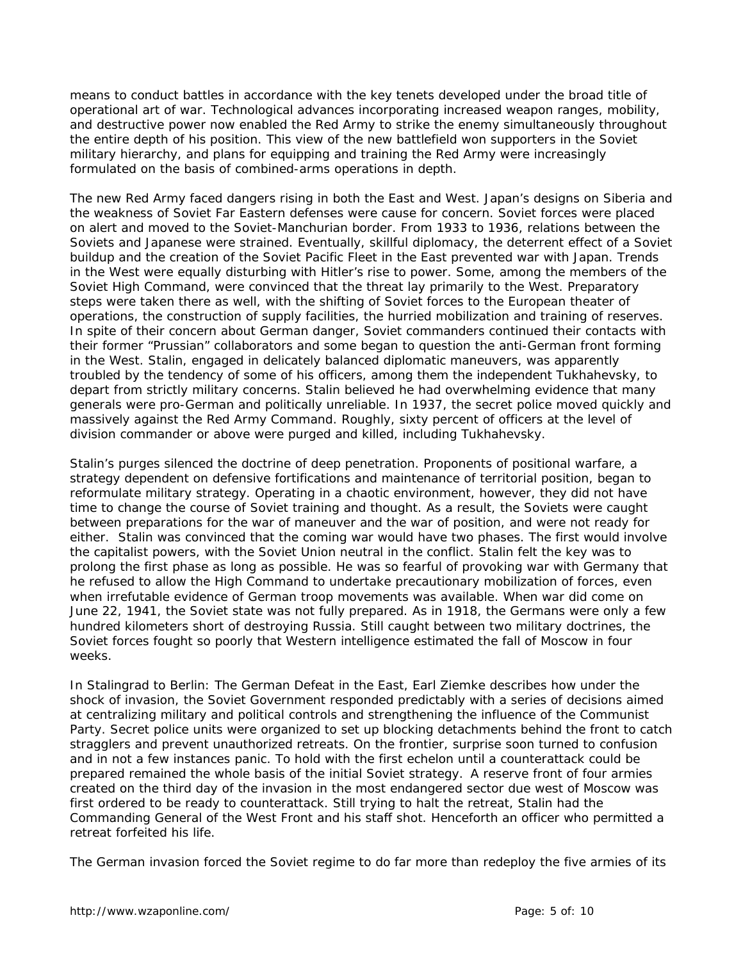means to conduct battles in accordance with the key tenets developed under the broad title of operational art of war. Technological advances incorporating increased weapon ranges, mobility, and destructive power now enabled the Red Army to strike the enemy simultaneously throughout the entire depth of his position. This view of the new battlefield won supporters in the Soviet military hierarchy, and plans for equipping and training the Red Army were increasingly formulated on the basis of combined-arms operations in depth.

The new Red Army faced dangers rising in both the East and West. Japan's designs on Siberia and the weakness of Soviet Far Eastern defenses were cause for concern. Soviet forces were placed on alert and moved to the Soviet-Manchurian border. From 1933 to 1936, relations between the Soviets and Japanese were strained. Eventually, skillful diplomacy, the deterrent effect of a Soviet buildup and the creation of the Soviet Pacific Fleet in the East prevented war with Japan. Trends in the West were equally disturbing with Hitler's rise to power. Some, among the members of the Soviet High Command, were convinced that the threat lay primarily to the West. Preparatory steps were taken there as well, with the shifting of Soviet forces to the European theater of operations, the construction of supply facilities, the hurried mobilization and training of reserves. In spite of their concern about German danger, Soviet commanders continued their contacts with their former "Prussian" collaborators and some began to question the anti-German front forming in the West. Stalin, engaged in delicately balanced diplomatic maneuvers, was apparently troubled by the tendency of some of his officers, among them the independent Tukhahevsky, to depart from strictly military concerns. Stalin believed he had overwhelming evidence that many generals were pro-German and politically unreliable. In 1937, the secret police moved quickly and massively against the Red Army Command. Roughly, sixty percent of officers at the level of division commander or above were purged and killed, including Tukhahevsky.

Stalin's purges silenced the doctrine of deep penetration. Proponents of positional warfare, a strategy dependent on defensive fortifications and maintenance of territorial position, began to reformulate military strategy. Operating in a chaotic environment, however, they did not have time to change the course of Soviet training and thought. As a result, the Soviets were caught between preparations for the war of maneuver and the war of position, and were not ready for either. Stalin was convinced that the coming war would have two phases. The first would involve the capitalist powers, with the Soviet Union neutral in the conflict. Stalin felt the key was to prolong the first phase as long as possible. He was so fearful of provoking war with Germany that he refused to allow the High Command to undertake precautionary mobilization of forces, even when irrefutable evidence of German troop movements was available. When war did come on June 22, 1941, the Soviet state was not fully prepared. As in 1918, the Germans were only a few hundred kilometers short of destroying Russia. Still caught between two military doctrines, the Soviet forces fought so poorly that Western intelligence estimated the fall of Moscow in four weeks.

In *Stalingrad to Berlin: The German Defeat in the East*, Earl Ziemke describes how under the shock of invasion, the Soviet Government responded predictably with a series of decisions aimed at centralizing military and political controls and strengthening the influence of the Communist Party. Secret police units were organized to set up blocking detachments behind the front to catch stragglers and prevent unauthorized retreats. On the frontier, surprise soon turned to confusion and in not a few instances panic. To hold with the first echelon until a counterattack could be prepared remained the whole basis of the initial Soviet strategy. A reserve front of four armies created on the third day of the invasion in the most endangered sector due west of Moscow was first ordered to be ready to counterattack. Still trying to halt the retreat, Stalin had the Commanding General of the West Front and his staff shot. Henceforth an officer who permitted a retreat forfeited his life.

The German invasion forced the Soviet regime to do far more than redeploy the five armies of its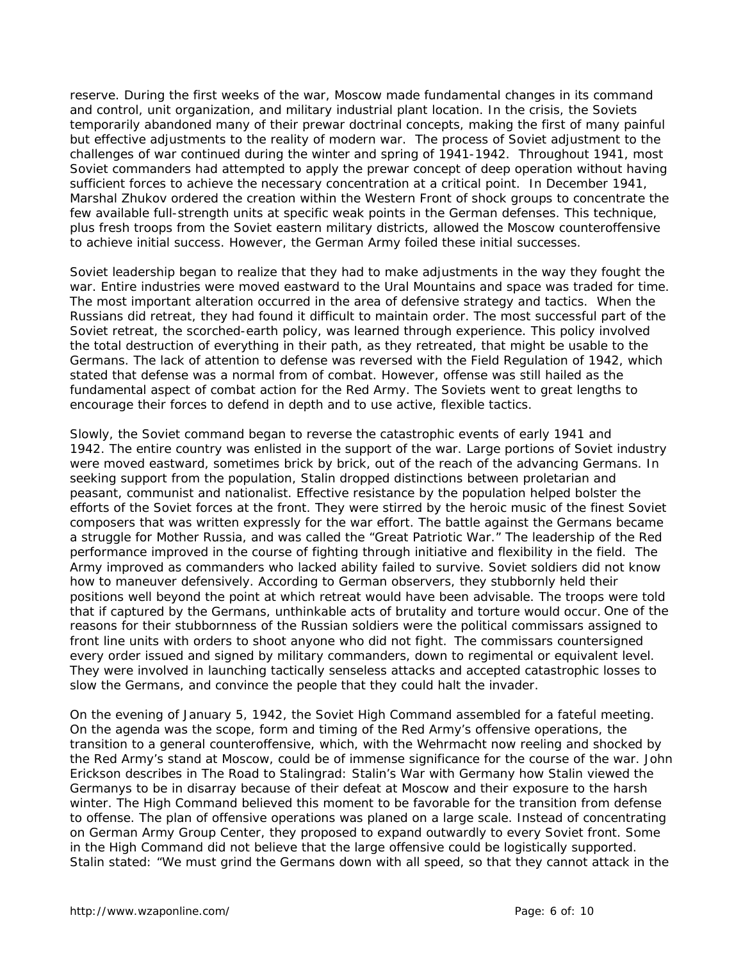reserve. During the first weeks of the war, Moscow made fundamental changes in its command and control, unit organization, and military industrial plant location. In the crisis, the Soviets temporarily abandoned many of their prewar doctrinal concepts, making the first of many painful but effective adjustments to the reality of modern war. The process of Soviet adjustment to the challenges of war continued during the winter and spring of 1941-1942. Throughout 1941, most Soviet commanders had attempted to apply the prewar concept of deep operation without having sufficient forces to achieve the necessary concentration at a critical point. In December 1941, Marshal Zhukov ordered the creation within the Western Front of shock groups to concentrate the few available full-strength units at specific weak points in the German defenses. This technique, plus fresh troops from the Soviet eastern military districts, allowed the Moscow counteroffensive to achieve initial success. However, the German Army foiled these initial successes.

Soviet leadership began to realize that they had to make adjustments in the way they fought the war. Entire industries were moved eastward to the Ural Mountains and space was traded for time. The most important alteration occurred in the area of defensive strategy and tactics. When the Russians did retreat, they had found it difficult to maintain order. The most successful part of the Soviet retreat, the scorched-earth policy, was learned through experience. This policy involved the total destruction of everything in their path, as they retreated, that might be usable to the Germans. The lack of attention to defense was reversed with the Field Regulation of 1942, which stated that defense was a normal from of combat. However, offense was still hailed as the fundamental aspect of combat action for the Red Army. The Soviets went to great lengths to encourage their forces to defend in depth and to use active, flexible tactics.

Slowly, the Soviet command began to reverse the catastrophic events of early 1941 and 1942. The entire country was enlisted in the support of the war. Large portions of Soviet industry were moved eastward, sometimes brick by brick, out of the reach of the advancing Germans. In seeking support from the population, Stalin dropped distinctions between proletarian and peasant, communist and nationalist. Effective resistance by the population helped bolster the efforts of the Soviet forces at the front. They were stirred by the heroic music of the finest Soviet composers that was written expressly for the war effort. The battle against the Germans became a struggle for Mother Russia, and was called the "Great Patriotic War." The leadership of the Red performance improved in the course of fighting through initiative and flexibility in the field. The Army improved as commanders who lacked ability failed to survive. Soviet soldiers did not know how to maneuver defensively. According to German observers, they stubbornly held their positions well beyond the point at which retreat would have been advisable. The troops were told that if captured by the Germans, unthinkable acts of brutality and torture would occur. One of the reasons for their stubbornness of the Russian soldiers were the political commissars assigned to front line units with orders to shoot anyone who did not fight. The commissars countersigned every order issued and signed by military commanders, down to regimental or equivalent level. They were involved in launching tactically senseless attacks and accepted catastrophic losses to slow the Germans, and convince the people that they could halt the invader.

On the evening of January 5, 1942, the Soviet High Command assembled for a fateful meeting. On the agenda was the scope, form and timing of the Red Army's offensive operations, the transition to a general counteroffensive, which, with the Wehrmacht now reeling and shocked by the Red Army's stand at Moscow, could be of immense significance for the course of the war. John Erickson describes in *The Road to Stalingrad: Stalin's War with Germany* how Stalin viewed the Germanys to be in disarray because of their defeat at Moscow and their exposure to the harsh winter. The High Command believed this moment to be favorable for the transition from defense to offense. The plan of offensive operations was planed on a large scale. Instead of concentrating on German Army Group Center, they proposed to expand outwardly to every Soviet front. Some in the High Command did not believe that the large offensive could be logistically supported. Stalin stated: "We must grind the Germans down with all speed, so that they cannot attack in the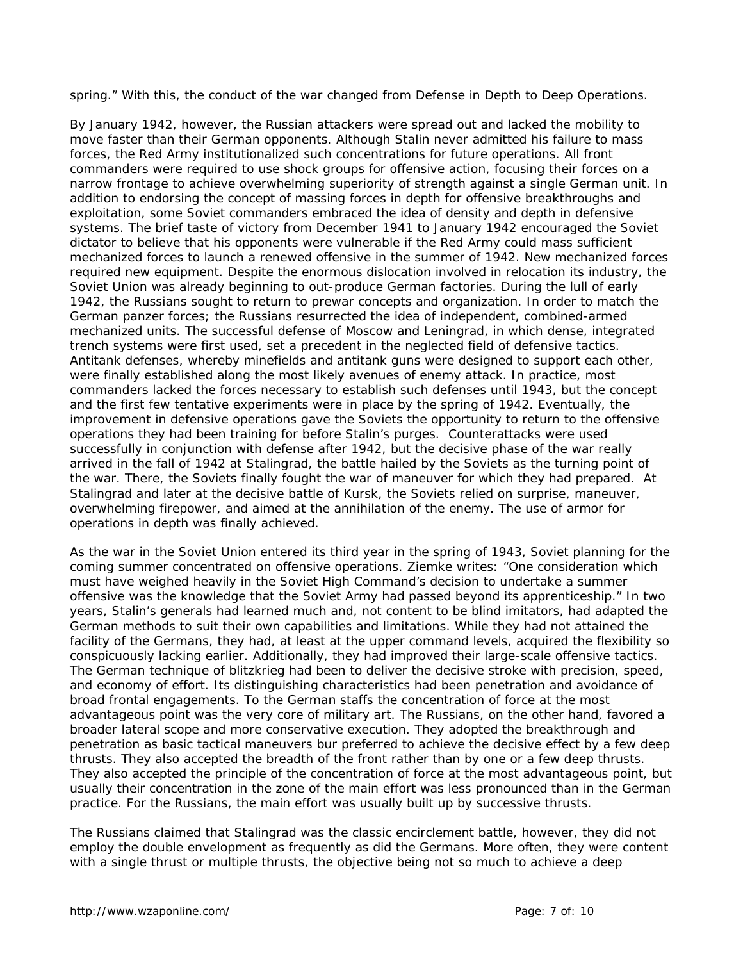spring." With this, the conduct of the war changed from Defense in Depth to Deep Operations.

By January 1942, however, the Russian attackers were spread out and lacked the mobility to move faster than their German opponents. Although Stalin never admitted his failure to mass forces, the Red Army institutionalized such concentrations for future operations. All front commanders were required to use shock groups for offensive action, focusing their forces on a narrow frontage to achieve overwhelming superiority of strength against a single German unit. In addition to endorsing the concept of massing forces in depth for offensive breakthroughs and exploitation, some Soviet commanders embraced the idea of density and depth in defensive systems. The brief taste of victory from December 1941 to January 1942 encouraged the Soviet dictator to believe that his opponents were vulnerable if the Red Army could mass sufficient mechanized forces to launch a renewed offensive in the summer of 1942. New mechanized forces required new equipment. Despite the enormous dislocation involved in relocation its industry, the Soviet Union was already beginning to out-produce German factories. During the lull of early 1942, the Russians sought to return to prewar concepts and organization. In order to match the German panzer forces; the Russians resurrected the idea of independent, combined-armed mechanized units. The successful defense of Moscow and Leningrad, in which dense, integrated trench systems were first used, set a precedent in the neglected field of defensive tactics. Antitank defenses, whereby minefields and antitank guns were designed to support each other, were finally established along the most likely avenues of enemy attack. In practice, most commanders lacked the forces necessary to establish such defenses until 1943, but the concept and the first few tentative experiments were in place by the spring of 1942. Eventually, the improvement in defensive operations gave the Soviets the opportunity to return to the offensive operations they had been training for before Stalin's purges. Counterattacks were used successfully in conjunction with defense after 1942, but the decisive phase of the war really arrived in the fall of 1942 at Stalingrad, the battle hailed by the Soviets as the turning point of the war. There, the Soviets finally fought the war of maneuver for which they had prepared. At Stalingrad and later at the decisive battle of Kursk, the Soviets relied on surprise, maneuver, overwhelming firepower, and aimed at the annihilation of the enemy. The use of armor for operations in depth was finally achieved.

As the war in the Soviet Union entered its third year in the spring of 1943, Soviet planning for the coming summer concentrated on offensive operations. Ziemke writes: "One consideration which must have weighed heavily in the Soviet High Command's decision to undertake a summer offensive was the knowledge that the Soviet Army had passed beyond its apprenticeship." In two years, Stalin's generals had learned much and, not content to be blind imitators, had adapted the German methods to suit their own capabilities and limitations. While they had not attained the facility of the Germans, they had, at least at the upper command levels, acquired the flexibility so conspicuously lacking earlier. Additionally, they had improved their large-scale offensive tactics. The German technique of blitzkrieg had been to deliver the decisive stroke with precision, speed, and economy of effort. Its distinguishing characteristics had been penetration and avoidance of broad frontal engagements. To the German staffs the concentration of force at the most advantageous point was the very core of military art. The Russians, on the other hand, favored a broader lateral scope and more conservative execution. They adopted the breakthrough and penetration as basic tactical maneuvers bur preferred to achieve the decisive effect by a few deep thrusts. They also accepted the breadth of the front rather than by one or a few deep thrusts. They also accepted the principle of the concentration of force at the most advantageous point, but usually their concentration in the zone of the main effort was less pronounced than in the German practice. For the Russians, the main effort was usually built up by successive thrusts.

The Russians claimed that Stalingrad was the classic encirclement battle, however, they did not employ the double envelopment as frequently as did the Germans. More often, they were content with a single thrust or multiple thrusts, the objective being not so much to achieve a deep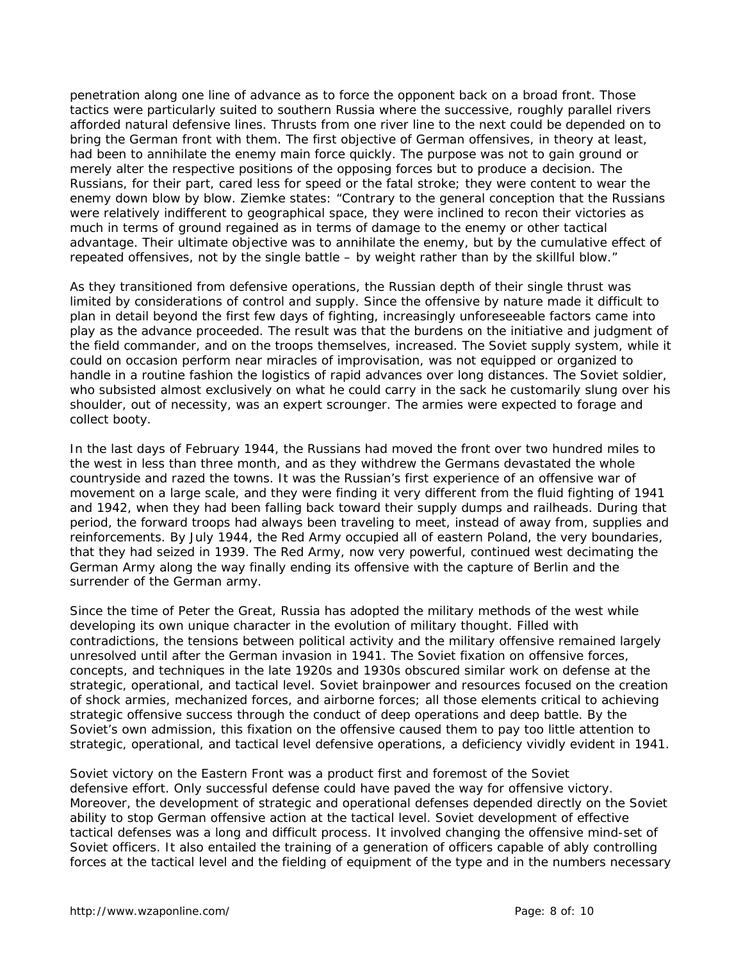penetration along one line of advance as to force the opponent back on a broad front. Those tactics were particularly suited to southern Russia where the successive, roughly parallel rivers afforded natural defensive lines. Thrusts from one river line to the next could be depended on to bring the German front with them. The first objective of German offensives, in theory at least, had been to annihilate the enemy main force quickly. The purpose was not to gain ground or merely alter the respective positions of the opposing forces but to produce a decision. The Russians, for their part, cared less for speed or the fatal stroke; they were content to wear the enemy down blow by blow. Ziemke states: "Contrary to the general conception that the Russians were relatively indifferent to geographical space, they were inclined to recon their victories as much in terms of ground regained as in terms of damage to the enemy or other tactical advantage. Their ultimate objective was to annihilate the enemy, but by the cumulative effect of repeated offensives, not by the single battle – by weight rather than by the skillful blow."

As they transitioned from defensive operations, the Russian depth of their single thrust was limited by considerations of control and supply. Since the offensive by nature made it difficult to plan in detail beyond the first few days of fighting, increasingly unforeseeable factors came into play as the advance proceeded. The result was that the burdens on the initiative and judgment of the field commander, and on the troops themselves, increased. The Soviet supply system, while it could on occasion perform near miracles of improvisation, was not equipped or organized to handle in a routine fashion the logistics of rapid advances over long distances. The Soviet soldier, who subsisted almost exclusively on what he could carry in the sack he customarily slung over his shoulder, out of necessity, was an expert scrounger. The armies were expected to forage and collect booty.

In the last days of February 1944, the Russians had moved the front over two hundred miles to the west in less than three month, and as they withdrew the Germans devastated the whole countryside and razed the towns. It was the Russian's first experience of an offensive war of movement on a large scale, and they were finding it very different from the fluid fighting of 1941 and 1942, when they had been falling back toward their supply dumps and railheads. During that period, the forward troops had always been traveling to meet, instead of away from, supplies and reinforcements. By July 1944, the Red Army occupied all of eastern Poland, the very boundaries, that they had seized in 1939. The Red Army, now very powerful, continued west decimating the German Army along the way finally ending its offensive with the capture of Berlin and the surrender of the German army.

Since the time of Peter the Great, Russia has adopted the military methods of the west while developing its own unique character in the evolution of military thought. Filled with contradictions, the tensions between political activity and the military offensive remained largely unresolved until after the German invasion in 1941. The Soviet fixation on offensive forces, concepts, and techniques in the late 1920s and 1930s obscured similar work on defense at the strategic, operational, and tactical level. Soviet brainpower and resources focused on the creation of shock armies, mechanized forces, and airborne forces; all those elements critical to achieving strategic offensive success through the conduct of deep operations and deep battle. By the Soviet's own admission, this fixation on the offensive caused them to pay too little attention to strategic, operational, and tactical level defensive operations, a deficiency vividly evident in 1941.

Soviet victory on the Eastern Front was a product first and foremost of the Soviet defensive effort. Only successful defense could have paved the way for offensive victory. Moreover, the development of strategic and operational defenses depended directly on the Soviet ability to stop German offensive action at the tactical level. Soviet development of effective tactical defenses was a long and difficult process. It involved changing the offensive mind-set of Soviet officers. It also entailed the training of a generation of officers capable of ably controlling forces at the tactical level and the fielding of equipment of the type and in the numbers necessary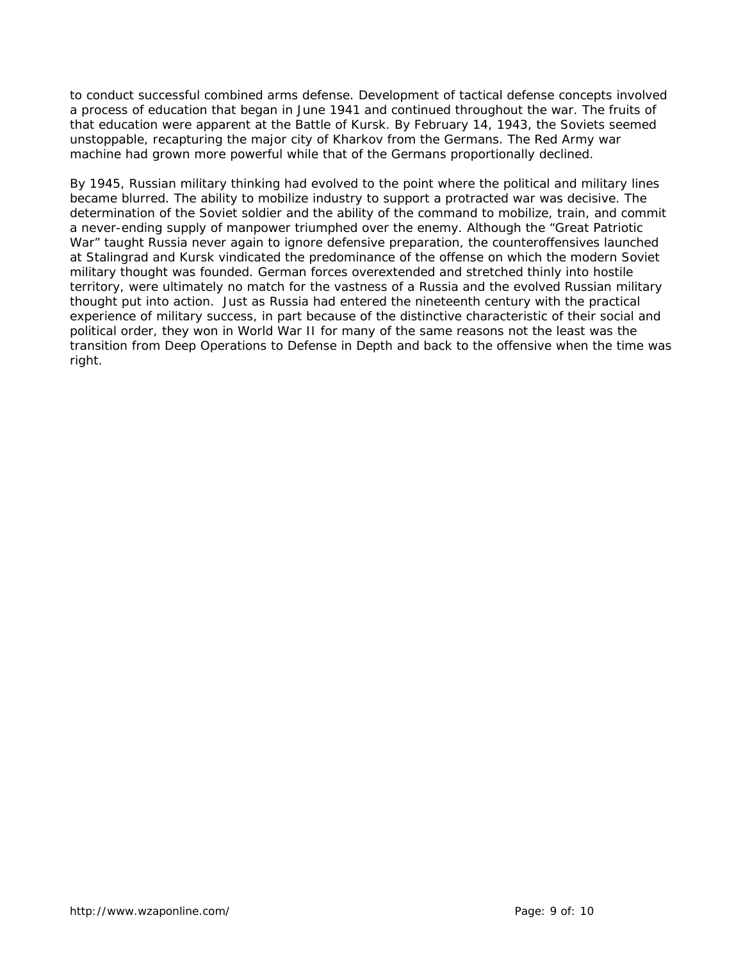to conduct successful combined arms defense. Development of tactical defense concepts involved a process of education that began in June 1941 and continued throughout the war. The fruits of that education were apparent at the Battle of Kursk. By February 14, 1943, the Soviets seemed unstoppable, recapturing the major city of Kharkov from the Germans. The Red Army war machine had grown more powerful while that of the Germans proportionally declined.

By 1945, Russian military thinking had evolved to the point where the political and military lines became blurred. The ability to mobilize industry to support a protracted war was decisive. The determination of the Soviet soldier and the ability of the command to mobilize, train, and commit a never-ending supply of manpower triumphed over the enemy. Although the "Great Patriotic War" taught Russia never again to ignore defensive preparation, the counteroffensives launched at Stalingrad and Kursk vindicated the predominance of the offense on which the modern Soviet military thought was founded. German forces overextended and stretched thinly into hostile territory, were ultimately no match for the vastness of a Russia and the evolved Russian military thought put into action. Just as Russia had entered the nineteenth century with the practical experience of military success, in part because of the distinctive characteristic of their social and political order, they won in World War II for many of the same reasons not the least was the transition from Deep Operations to Defense in Depth and back to the offensive when the time was right.